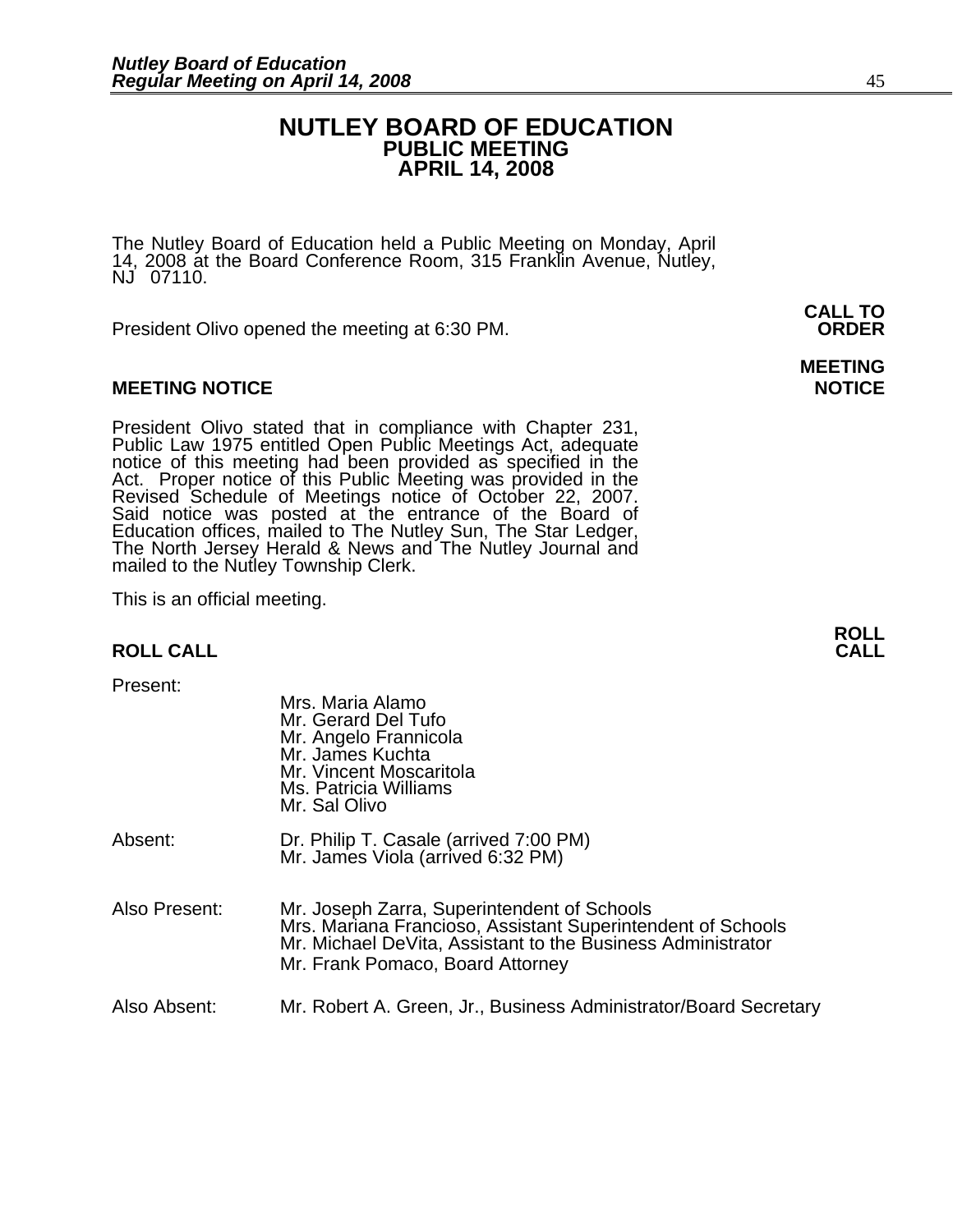### **NUTLEY BOARD OF EDUCATION PUBLIC MEETING APRIL 14, 2008**

The Nutley Board of Education held a Public Meeting on Monday, April 14, 2008 at the Board Conference Room, 315 Franklin Avenue, Nutley, NJ 07110.

 **CALL TO**  President Olivo opened the meeting at 6:30 PM. **ORDER**

#### **MEETING NOTICE NOTICE REPORTS AND ALCOHOL**

President Olivo stated that in compliance with Chapter 231,<br>Public Law 1975 entitled Open Public Meetings Act, adequate<br>notice of this meeting had been provided as specified in the<br>Act. Proper notice of this Public Meeting Said notice was posted at the entrance of the Board of Education offices, mailed to The Nutley Sun, The Star Ledger,<br>The North Jersey Herald & News and The Nutley Journal and<br>mailed to the Nutley Township Clerk.

This is an official meeting.

#### **ROLL CALL**

Present:

| Piesent.      | Mrs. Maria Alamo<br>Mr. Gerard Del Tufo<br>Mr. Angelo Frannicola<br>Mr. James Kuchta<br>Mr. Vincent Moscaritola<br>Ms. Patricia Williams<br>Mr. Sal Olivo                                                     |
|---------------|---------------------------------------------------------------------------------------------------------------------------------------------------------------------------------------------------------------|
| Absent:       | Dr. Philip T. Casale (arrived 7:00 PM)<br>Mr. James Viola (arrived 6:32 PM)                                                                                                                                   |
| Also Present: | Mr. Joseph Zarra, Superintendent of Schools<br>Mrs. Mariana Francioso, Assistant Superintendent of Schools<br>Mr. Michael DeVita, Assistant to the Business Administrator<br>Mr. Frank Pomaco, Board Attorney |
| Also Absent:  | Mr. Robert A. Green, Jr., Business Administrator/Board Secretary                                                                                                                                              |

**MEETING** 

**ROLL**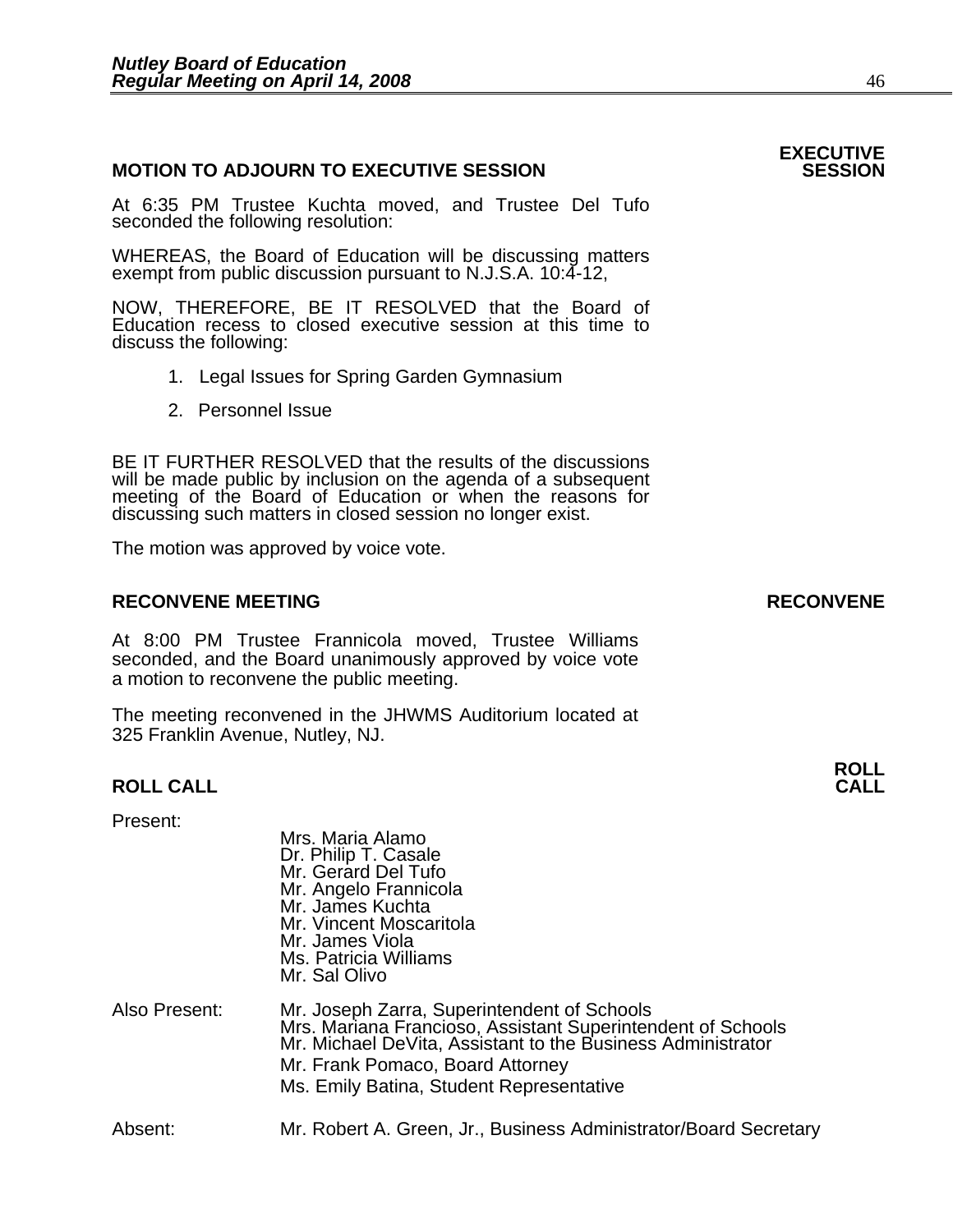#### **MOTION TO ADJOURN TO EXECUTIVE SESSION**

At 6:35 PM Trustee Kuchta moved, and Trustee Del Tufo seconded the following resolution:

WHEREAS, the Board of Education will be discussing matters exempt from public discussion pursuant to N.J.S.A. 10:4-12,

NOW, THEREFORE, BE IT RESOLVED that the Board of Education recess to closed executive session at this time to discuss the following:

- 1. Legal Issues for Spring Garden Gymnasium 2. Personnel Issue
- 

BE IT FURTHER RESOLVED that the results of the discussions will be made public by inclusion on the agenda of a subsequent meeting of the Board of Education or when the reasons for discussing such matters in closed session no longer exist. 

The motion was approved by voice vote.

#### **RECONVENE MEETING RECONVENE**

At 8:00 PM Trustee Frannicola moved, Trustee Williams seconded, and the Board unanimously approved by voice vote a motion to reconvene the public meeting.

The meeting reconvened in the JHWMS Auditorium located at 325 Franklin Avenue, Nutley, NJ.

Mrs. Maria Alamo

#### **ROLL CALL**

#### Present:

|               | Dr. Philip T. Casale<br>Mr. Gerard Del Tufo<br>Mr. Angelo Frannicola<br>Mr. James Kuchta<br>Mr. Vincent Moscaritola<br>Mr. James Viola<br>Ms. Patricia Williams<br>Mr. Sal Olivo                                                                          |
|---------------|-----------------------------------------------------------------------------------------------------------------------------------------------------------------------------------------------------------------------------------------------------------|
| Also Present: | Mr. Joseph Zarra, Superintendent of Schools<br>Mrs. Mariana Francioso, Assistant Superintendent of Schools<br>Mr. Michael DeVita, Assistant to the Business Administrator<br>Mr. Frank Pomaco, Board Attorney<br>Ms. Emily Batina, Student Representative |
| Absent:       | Mr. Robert A. Green, Jr., Business Administrator/Board Secretary                                                                                                                                                                                          |

# **ROLL**

## **EXECUTIVE**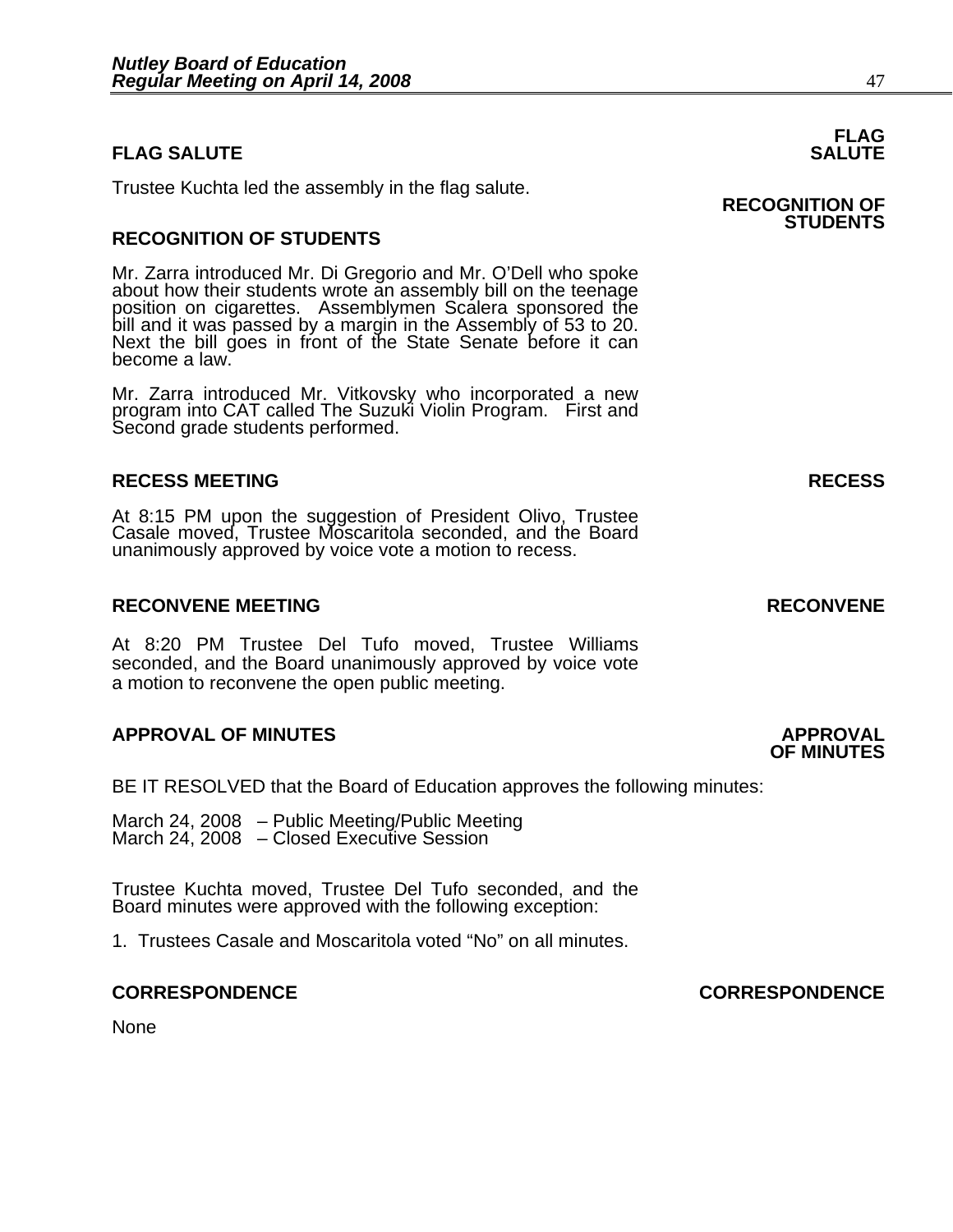### **FLAG SALUTE** SALUTE

Trustee Kuchta led the assembly in the flag salute. **RECOGNITION OF** 

### **RECOGNITION OF STUDENTS**

Mr. Zarra introduced Mr. Di Gregorio and Mr. O'Dell who spoke about how their students wrote an assembly bill on the teenage position on cigarettes. Assemblymen Scalera sponsored the bill and it was passed by a margin in the Assembly of 53 to 20. Next the bill goes in front of the State Senate before it can become a law.

Mr. Zarra introduced Mr. Vitkovsky who incorporated a new program into CAT called The Suzuki Violin Program. First and Second grade students performed.

#### **RECESS MEETING RECESS**

At 8:15 PM upon the suggestion of President Olivo, Trustee Casale moved, Trustee Moscaritola seconded, and the Board unanimously approved by voice vote a motion to recess.

#### **RECONVENE MEETING RECONVENE**

At 8:20 PM Trustee Del Tufo moved, Trustee Williams seconded, and the Board unanimously approved by voice vote a motion to reconvene the open public meeting.

#### **APPROVAL OF MINUTES APPROVAL**

BE IT RESOLVED that the Board of Education approves the following minutes:

March 24, 2008 – Public Meeting/Public Meeting March 24, 2008 – Closed Executive Session

Trustee Kuchta moved, Trustee Del Tufo seconded, and the Board minutes were approved with the following exception:

1. Trustees Casale and Moscaritola voted "No" on all minutes.

None

## **FLAG**

## **STUDENTS**

#### **CORRESPONDENCE CORRESPONDENCE**

**OF MINUTES**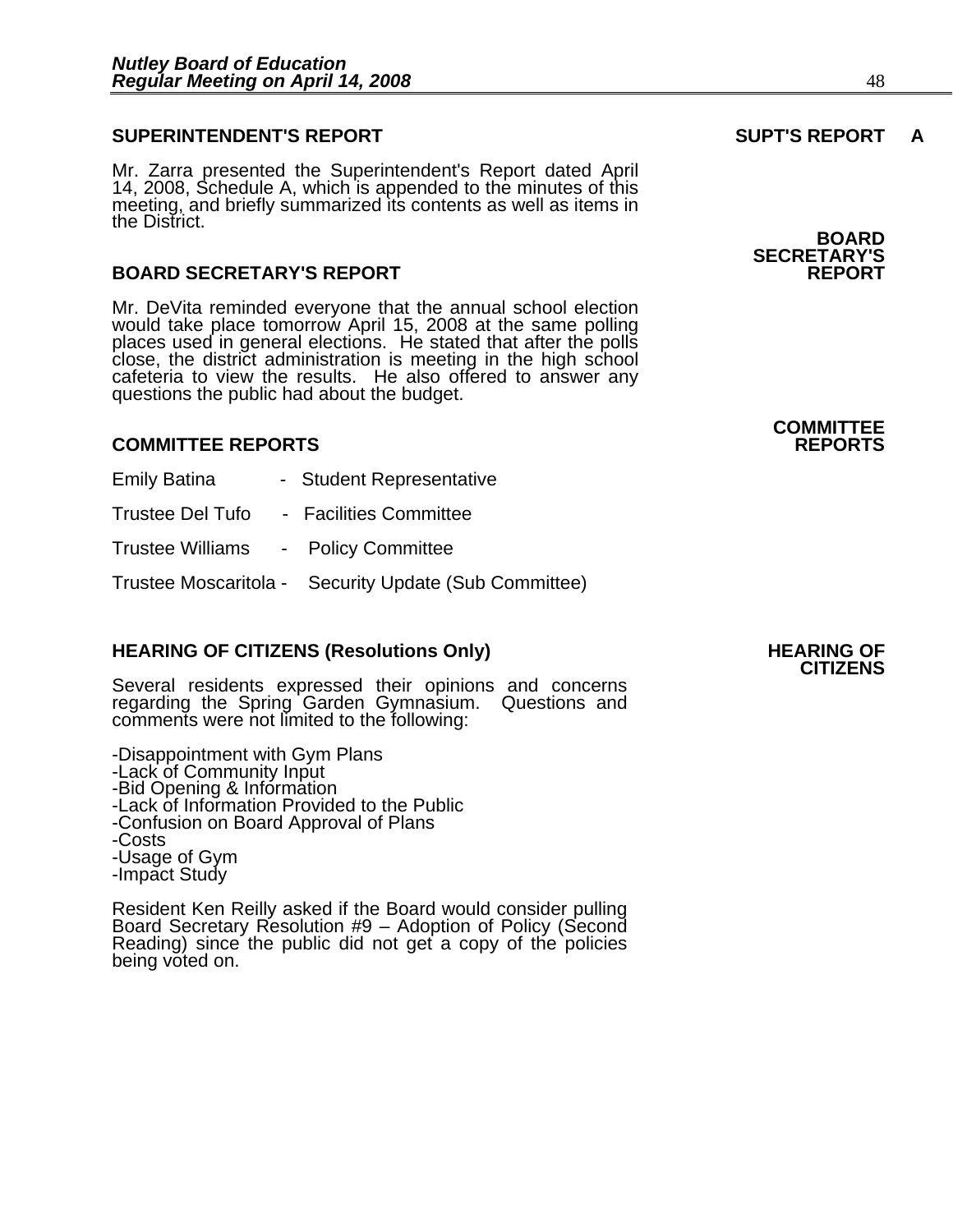#### **SUPERINTENDENT'S REPORT SUPT'S REPORT A**

Mr. Zarra presented the Superintendent's Report dated April 14, 2008, Schedule A, which is appended to the minutes of this meeting, and briefly summarized its contents as well as items in the District.

#### **BOARD SECRETARY'S REPORT**

Mr. DeVita reminded everyone that the annual school election would take place tomorrow April 15, 2008 at the same polling places used in general elections. He stated that after the polls close, the district administration is meeting in the high school cafeteria to view the results. He also offered to answer any questions the public had about

#### **COMMITTEE REPORTS REPORTS**

| <b>Emily Batina</b>                 | - Student Representative                              |
|-------------------------------------|-------------------------------------------------------|
| Trustee Del Tufo                    | - Facilities Committee                                |
| Trustee Williams - Policy Committee |                                                       |
|                                     | Trustee Moscaritola - Security Update (Sub Committee) |

**HEARING OF CITIZENS (Resolutions Only)** HEARING OF CITIZENS<br>CITIZENS Several residents expressed their opinions and concerns regarding the Spring Garden Gymnasium. Questions and comments were not limited to the following:

-Disappointment with Gym Plans -Lack of Community Input -Bid Opening & Information -Lack of Information Provided to the Public -Confusion on Board Approval of Plans -Costs -Usage of Gym -Impact Study

Resident Ken Reilly asked if the Board would consider pulling Board Secretary Resolution #9 – Adoption of Policy (Second Reading) since the public did not get a copy of the policies being voted on.

**BOARD SECRETARY'S** 

**COMMITTEE**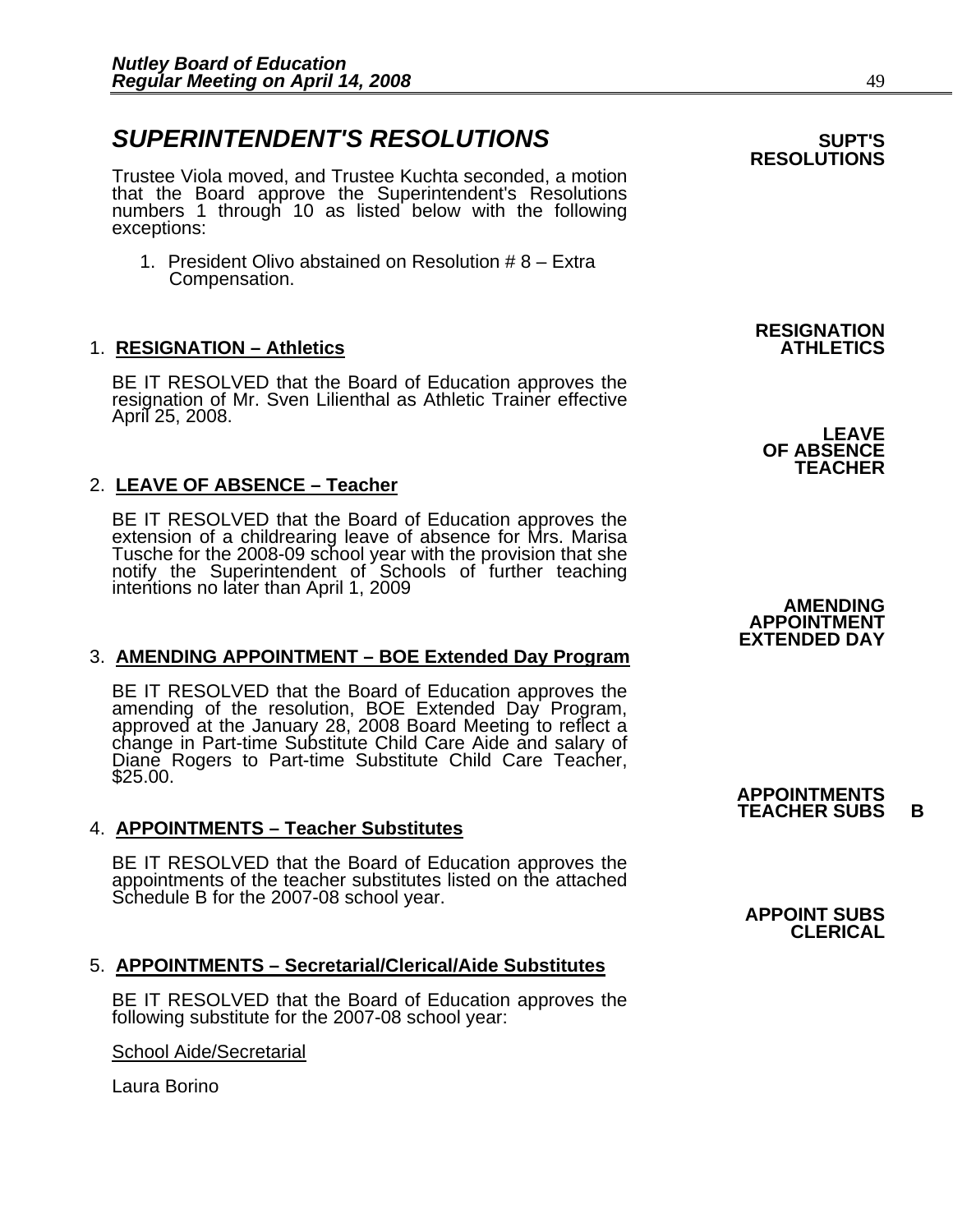## **SUPERINTENDENT'S RESOLUTIONS EXAMPLE ASSESSED ASSESSED ASSESSED ASSESSED ASSESSED ASSESSED ASSESSED ASSESSED ASSESSED ASSESSED ASSESSED ASSESSED ASSESSED ASSESSED ASSESSED ASSESSED ASSESSED ASSESSED ASSESSED ASSESSED AS**

Trustee Viola moved, and Trustee Kuchta seconded, a motion that the Board approve the Superintendent's Resolutions numbers 1 through 10 as listed below with the following exceptions:

1. President Olivo abstained on Resolution # 8 – Extra Compensation.

### 1. **RESIGNATION – Athletics**

BE IT RESOLVED that the Board of Education approves the resignation of Mr. Sven Lilienthal as Athletic Trainer effective April 25, 2008.

### 2. **LEAVE OF ABSENCE – Teacher**

BE IT RESOLVED that the Board of Education approves the extension of a childrearing leave of absence for Mrs. Marisa Tusche for the 2008-09 school year with the provision that she notify the Superintendent of Schools of further teaching intentions no later than April 1, 2009

#### 3. **AMENDING APPOINTMENT – BOE Extended Day Program**

BE IT RESOLVED that the Board of Education approves the amending of the resolution, BOE Extended Day Program, approved at the January 28, 2008 Board Meeting to reflect a change in Part-time Substitute Child Care Aide and s \$25.00.

#### 4. **APPOINTMENTS – Teacher Substitutes**

BE IT RESOLVED that the Board of Education approves the appointments of the teacher substitutes listed on the attached Schedule B for the 2007-08 school year.<br>**APPOINT SUBS** 

#### 5. **APPOINTMENTS – Secretarial/Clerical/Aide Substitutes**

BE IT RESOLVED that the Board of Education approves the following substitute for the 2007-08 school year:

School Aide/Secretarial

Laura Borino

## **RESOLUTIONS**

**RESIGNATION** 

**LEAVE OF ABSENCE TEACHER** 

**AMENDING APPOINTMENT EXTENDED DAY** 

**APPOINTMENTS TEACHER SUBS B**

**CLERICAL**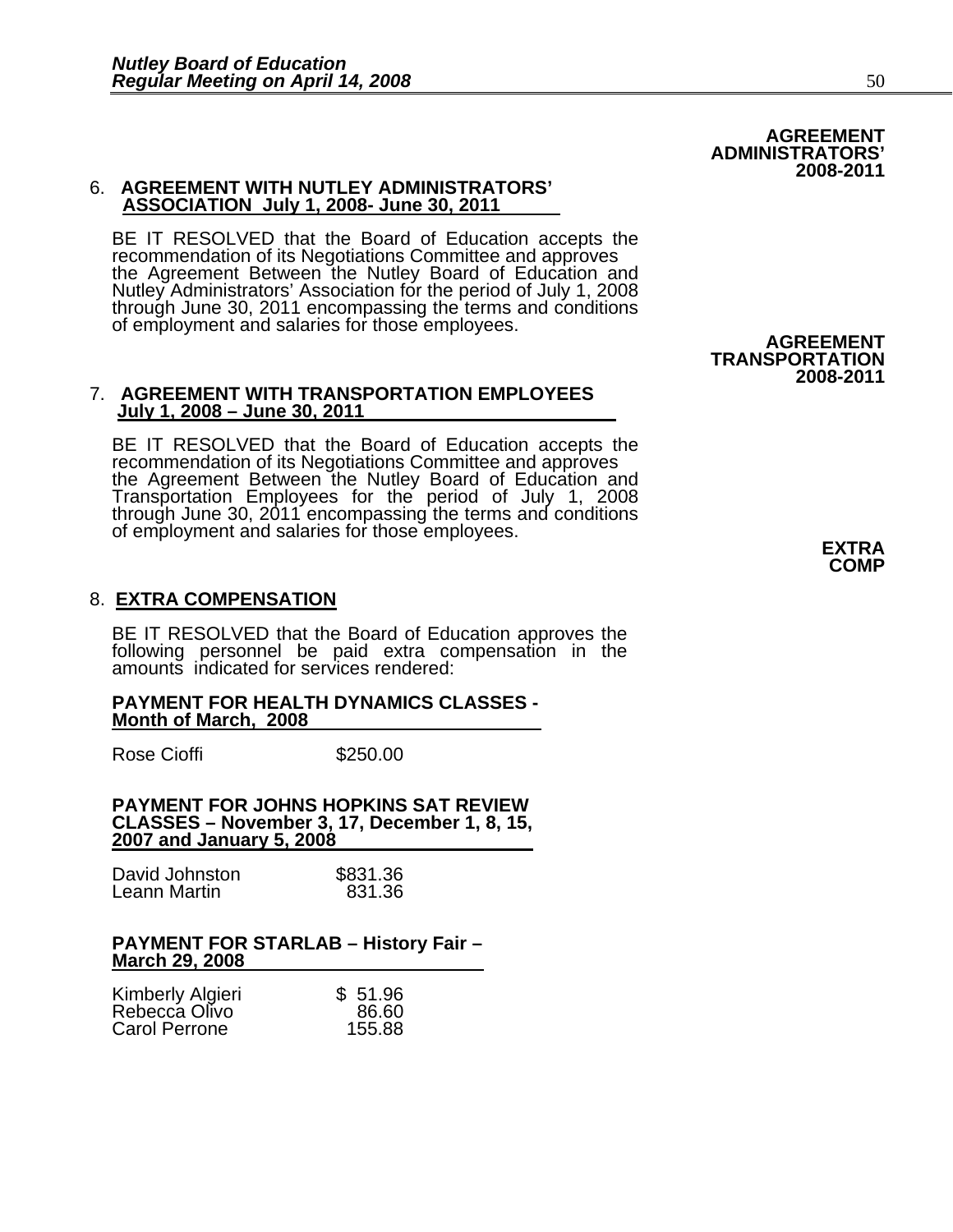#### 6. **AGREEMENT WITH NUTLEY ADMINISTRATORS' ASSOCIATION July 1, 2008- June 30, 2011**

BE IT RESOLVED that the Board of Education accepts the recommendation of its Negotiations Committee and approves the Agreement Between the Nutley Board of Education and Nutley Administrators' Association for the period of July 1, 2008<br>through June 30, 2011 encompassing the terms and conditions of employment and salaries for those employees. **AGREEMENT** 

#### 7. **AGREEMENT WITH TRANSPORTATION EMPLOYEES July 1, 2008 – June 30, 2011**

BE IT RESOLVED that the Board of Education accepts the recommendation of its Negotiations Committee and approves the Agreement Between the Nutley Board of Education and<br>Transportation Employees for the period of July 1, 2008 Transportation Employees for the period of July 1, 2008 through June 30, 2011 encompassing the terms and conditions of employment and salaries for those employees. **EXTRA**

### 8. **EXTRA COMPENSATION**

BE IT RESOLVED that the Board of Education approves the following personnel be paid extra compensation in the amounts indicated for services rendered:

#### **PAYMENT FOR HEALTH DYNAMICS CLASSES - Month of March, 2008**

Rose Cioffi **\$250.00** 

**PAYMENT FOR JOHNS HOPKINS SAT REVIEW CLASSES – November 3, 17, December 1, 8, 15, 2007 and January 5, 2008**

| David Johnston | \$831.36 |
|----------------|----------|
| Leann Martin   | 831.36   |

#### **PAYMENT FOR STARLAB – History Fair – March 29, 2008**

|                                   | \$51.96 |
|-----------------------------------|---------|
| Kimberly Algieri<br>Rebecca Olivo | 86.60   |
| Carol Perrone                     | 155.88  |

 **TRANSPORTATION 2008-2011** 

**COMP** 

**AGREEMENT** 

**2008-2011** 

 **ADMINISTRATORS'**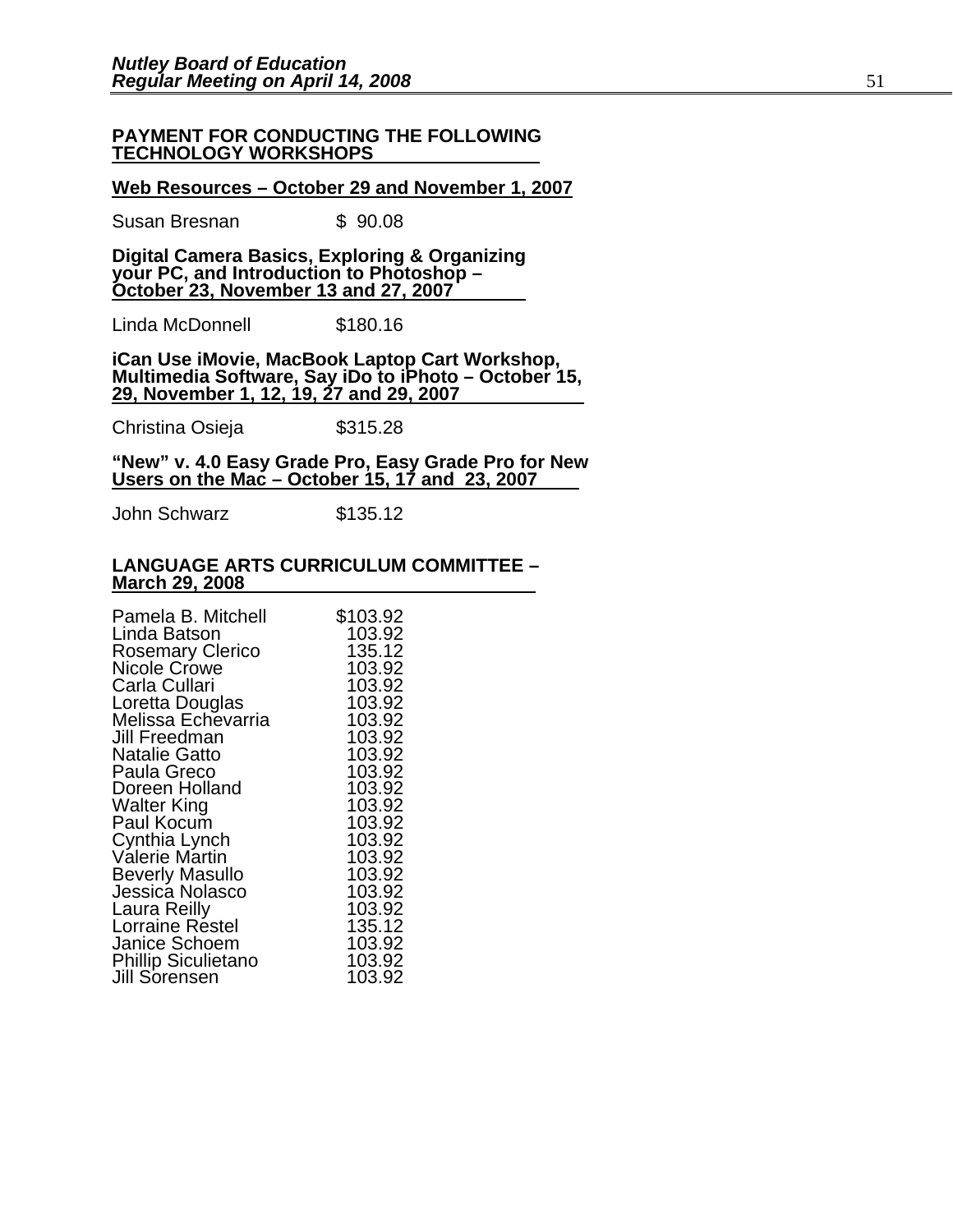#### **PAYMENT FOR CONDUCTING THE FOLLOWING TECHNOLOGY WORKSHOPS**

#### **Web Resources – October 29 and November 1, 2007**

Susan Bresnan  $$90.08$ 

**Digital Camera Basics, Exploring & Organizing your PC, and Introduction to Photoshop – October 23, November 13 and 27, 2007**

Linda McDonnell \$180.16

**iCan Use iMovie, MacBook Laptop Cart Workshop, Multimedia Software, Say iDo to iPhoto – October 15, 29, November 1, 12, 19, 27 and 29, 2007**

Christina Osieja  $$315.28$ 

**"New" v. 4.0 Easy Grade Pro, Easy Grade Pro for New Users on the Mac – October 15, 17 and 23, 2007**

John Schwarz \$135.12

#### **LANGUAGE ARTS CURRICULUM COMMITTEE – March 29, 2008**

| Pamela B. Mitchell         | \$103.92 |
|----------------------------|----------|
| Linda Batson               | 103.92   |
| <b>Rosemary Clerico</b>    | 135.12   |
| Nicole Crowe               | 103.92   |
| Carla Cullari              | 103.92   |
| Loretta Douglas            | 103.92   |
| Melissa Echevarria         | 103.92   |
| Jill Freedman              | 103.92   |
| <b>Natalie Gatto</b>       | 103.92   |
| Paula Greco                | 103.92   |
| Doreen Holland             | 103.92   |
| <b>Walter King</b>         | 103.92   |
| Paul Kocum                 | 103.92   |
| Cynthia Lynch              | 103.92   |
| <b>Valerie Martin</b>      | 103.92   |
| <b>Beverly Masullo</b>     | 103.92   |
| Jessica Nolasco            | 103.92   |
| Laura Reilly               | 103.92   |
| Lorraine Restel            | 135.12   |
| Janice Schoem              | 103.92   |
| <b>Phillip Siculietano</b> | 103.92   |
| Jill Sorensen              | 103.92   |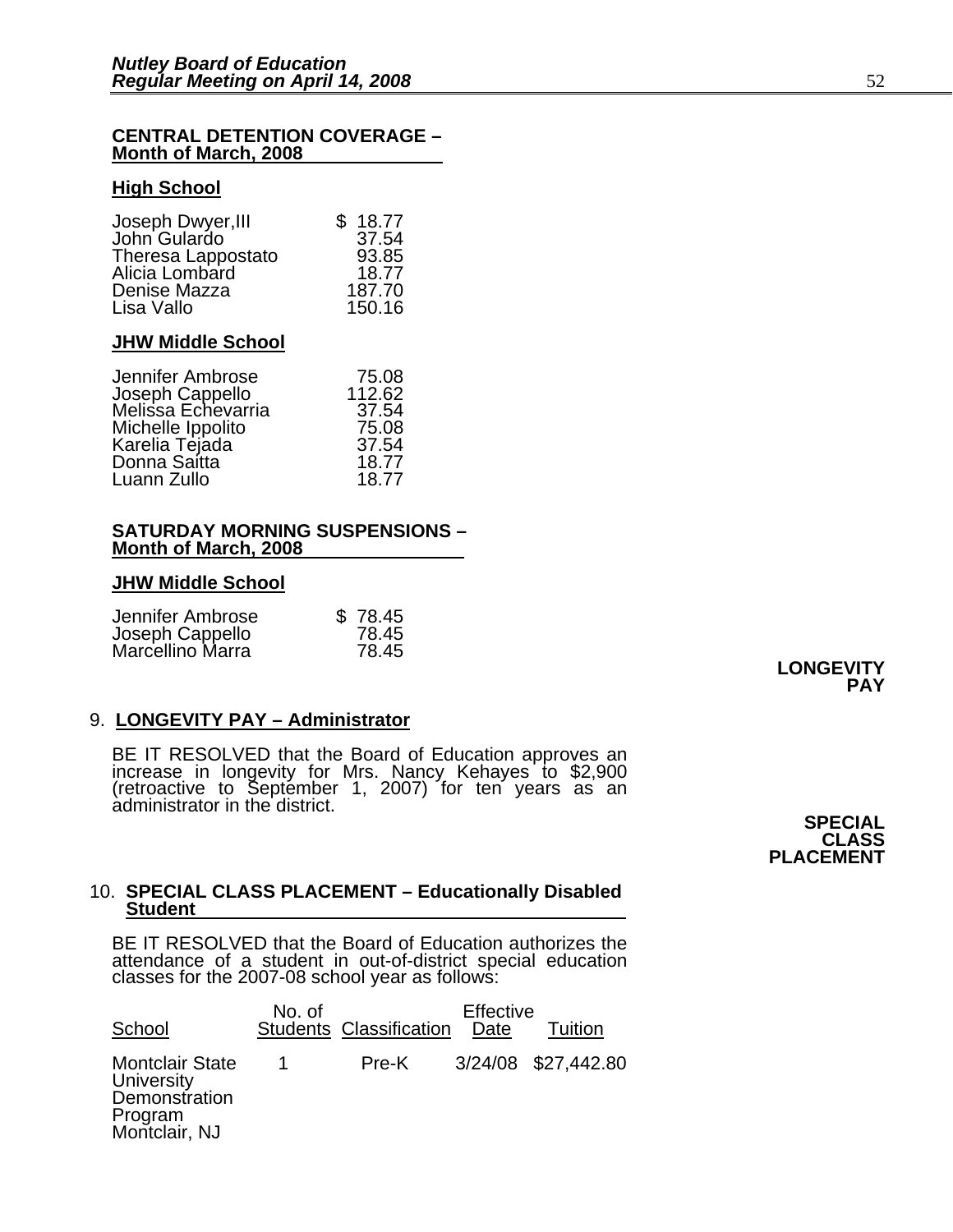#### **CENTRAL DETENTION COVERAGE – Month of March, 2008**

#### **High School**

| Joseph Dwyer, III  | \$18.77 |
|--------------------|---------|
| John Gulardo       | 37.54   |
| Theresa Lappostato | 93.85   |
| Alicia Lombard     | 18.77   |
| Denise Mazza       | 187.70  |
| Lisa Vallo         | 150.16  |

#### **JHW Middle School**

| 75.08  |
|--------|
| 112.62 |
| 37.54  |
| 75.08  |
| 37.54  |
| 18.77  |
| 18.77  |
|        |

#### **SATURDAY MORNING SUSPENSIONS – Month of March, 2008**

#### **JHW Middle School**

| Jennifer Ambrose                    | \$78.45 |
|-------------------------------------|---------|
| Joseph Cappello<br>Marcellino Marra | 78.45   |
|                                     | 78.45   |

#### 9. **LONGEVITY PAY – Administrator**

BE IT RESOLVED that the Board of Education approves an increase in longevity for Mrs. Nancy Kehayes to \$2,900 (retroactive to September 1, 2007) for ten years as an administrator in the district.

**SPECIAL CLASS PLACEMENT** 

**LONGEVITY**

**PAY** 

## 10. **SPECIAL CLASS PLACEMENT – Educationally Disabled Student**

BE IT RESOLVED that the Board of Education authorizes the attendance of a student in out-of-district special education classes for the 2007-08 school year as follows:

| School                                                                            | No. of | <b>Students Classification</b> | Effective<br>Date | Tuition             |
|-----------------------------------------------------------------------------------|--------|--------------------------------|-------------------|---------------------|
| <b>Montclair State</b><br>University<br>Demonstration<br>Program<br>Montclair, NJ | 1      | Pre-K                          |                   | 3/24/08 \$27,442.80 |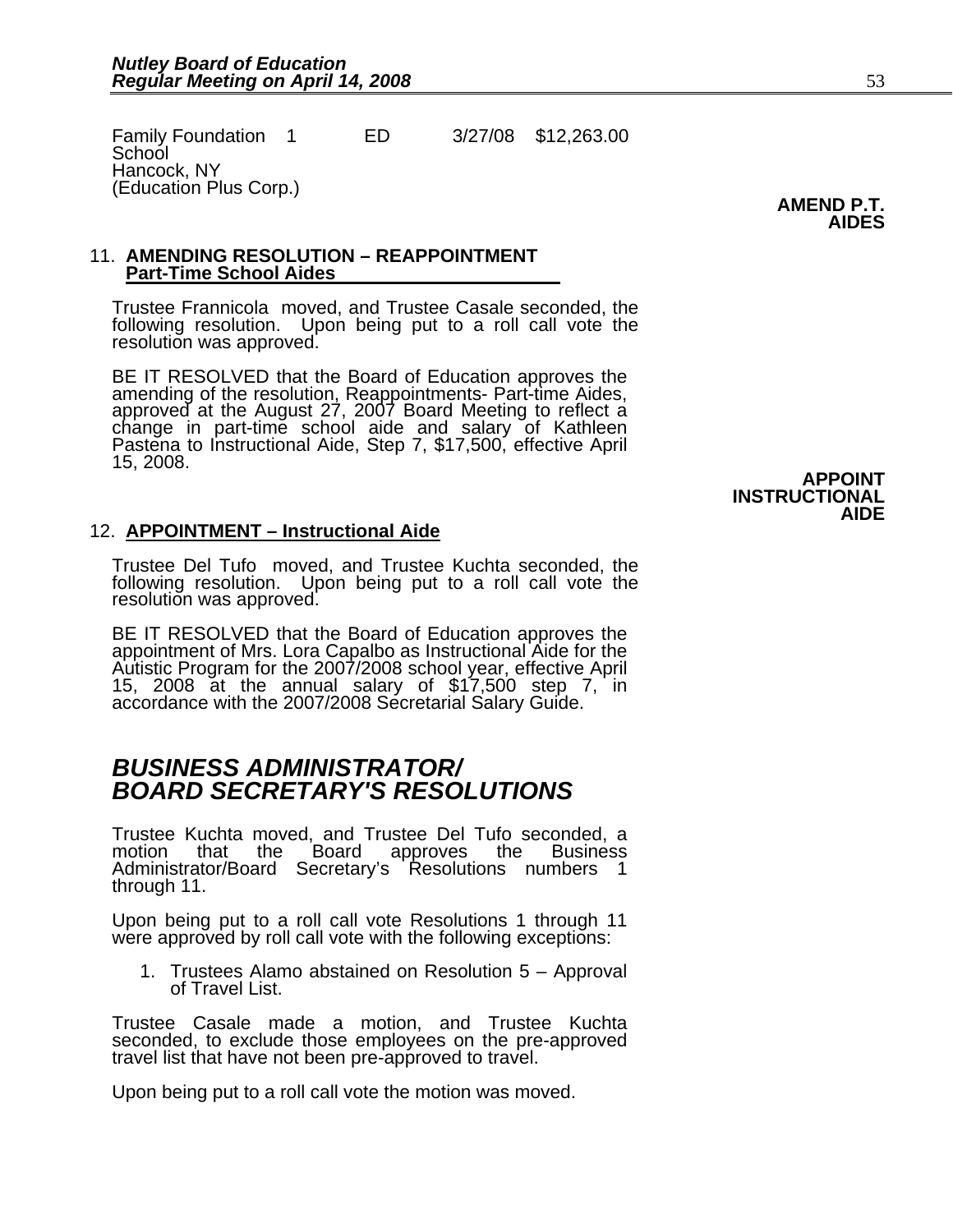Family Foundation 1 ED 3/27/08 \$12,263.00 **School** Hancock, NY (Education Plus Corp.)

**AMEND P.T. AIDES** 

#### 11. **AMENDING RESOLUTION – REAPPOINTMENT Part-Time School Aides**

Trustee Frannicola moved, and Trustee Casale seconded, the following resolution. Upon being put to a roll call vote the resolution was approved.

BE IT RESOLVED that the Board of Education approves the<br>amending of the resolution, Reappointments- Part-time Aides,<br>approved at the August 27, 2007 Board Meeting to reflect a<br>change in part-time school aide and salary of 15, 2008.

#### 12. **APPOINTMENT – Instructional Aide**

Trustee Del Tufo moved, and Trustee Kuchta seconded, the following resolution. Upon being put to a roll call vote the resolution was approved.

BE IT RESOLVED that the Board of Education approves the appointment of Mrs. Lora Capalbo as Instructional Aide for the Autistic Program for the 2007/2008 school year, effective April 15, 2008 at the annual salary of  $$17,500$  step 7, in accordance with the 2007/2008 Secretarial Salary Guide.

## *BUSINESS ADMINISTRATOR/ BOARD SECRETARY'S RESOLUTIONS*

Trustee Kuchta moved, and Trustee Del Tufo seconded, a motion that the Board approves the Business Administrator/Board Secretary's Resolutions numbers 1 through 11.

Upon being put to a roll call vote Resolutions 1 through 11 were approved by roll call vote with the following exceptions:

1. Trustees Alamo abstained on Resolution 5 – Approval of Travel List.

Trustee Casale made a motion, and Trustee Kuchta seconded, to exclude those employees on the pre-approved travel list that have not been pre-approved to travel.

Upon being put to a roll call vote the motion was moved.

**APPOINT INSTRUCTIONAL AIDE**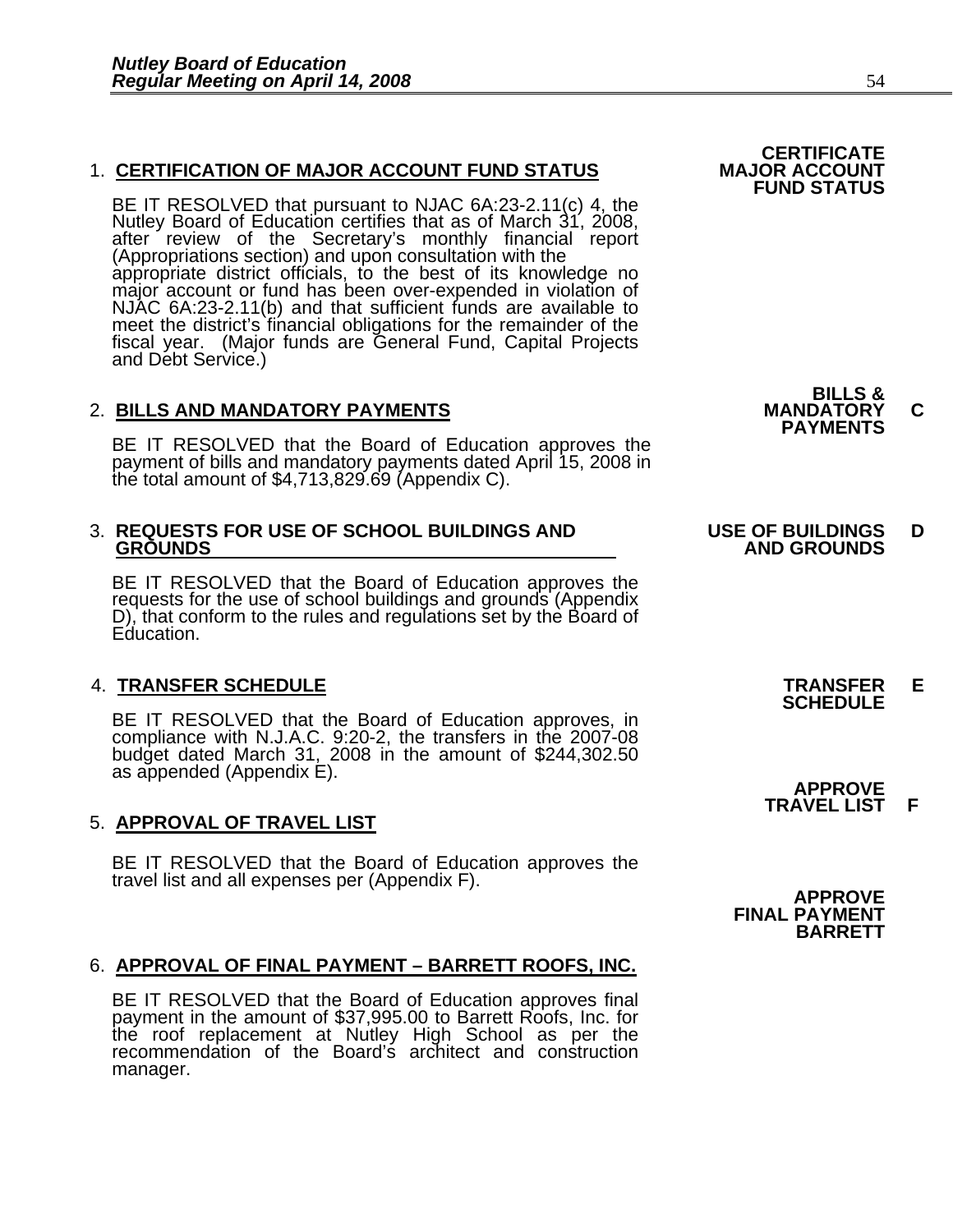#### **1. CERTIFICATION OF MAJOR ACCOUNT FUND STATUS**

BE IT RESOLVED that pursuant to NJAC 6A:23-2.11(c) 4, the Nutley Board of Education certifies that as of March 31, 2008, after review of the Secretary's monthly financial report (Appropriations section) and upon consultation with the<br>appropriate district officials, to the best of its knowledge no<br>major account or fund has been over-expended in violation of<br>NJAC 6A:23-2.11(b) and that sufficient fu meet the district's financial obligations for the remainder of the fiscal year. (Major funds are General Fund, Capital Projects and Debt Service.)

2. BILLS AND MANDATORY PAYMENTS<br>
BE IT RESOLVED that the Board of Education approves the **PAYMENTS** payment of bills and mandatory payments dated April 15, 2008 in the total amount of \$4,713,829.69 (Appendix C).

## 3. **REQUESTS FOR USE OF SCHOOL BUILDINGS AND USE OF BUILDINGS D**

BE IT RESOLVED that the Board of Education approves the requests for the use of school buildings and grounds (Appendix D), that conform to the rules and regulations set by the Board of Education.

4. **TRANSFER SCHEDULE**<br>BE IT RESOLVED that the Board of Education approves, in **SCHEDULE** BE IT RESOLVED that the Board of Education approves, in compliance with N.J.A.C. 9:20-2, the transfers in the 2007-08 budget dated March 31, 2008 in the amount of \$244,302.50 as appended (Appendix E).

#### 5. **APPROVAL OF TRAVEL LIST**

BE IT RESOLVED that the Board of Education approves the travel list and all expenses per (Appendix F).

#### 6. **APPROVAL OF FINAL PAYMENT – BARRETT ROOFS, INC.**

BE IT RESOLVED that the Board of Education approves final payment in the amount of \$37,995.00 to Barrett Roofs, Inc. for the roof replacement at Nutley High School as per the recommendation of the Board's architect and construction manager.

**FUND STATUS** 

**CERTIFICATE**<br>MAJOR ACCOUNT

**BILLS &** 

## **GROUNDS AND GROUNDS**

 **APPROVE TRAVEL LIST F**

**APPROVE FINAL PAYMENT BARRETT**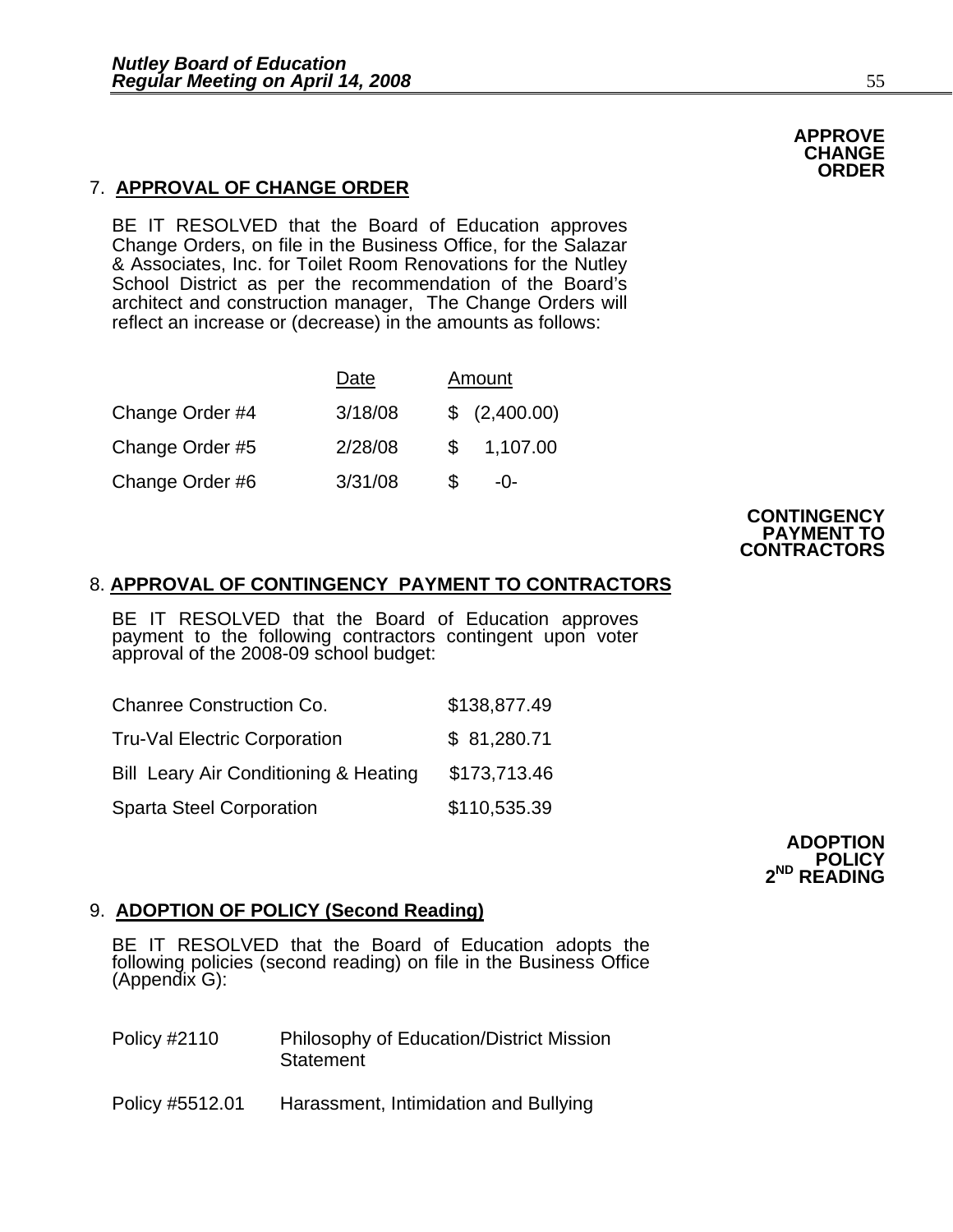### 7. **APPROVAL OF CHANGE ORDER**

BE IT RESOLVED that the Board of Education approves Change Orders, on file in the Business Office, for the Salazar & Associates, Inc. for Toilet Room Renovations for the Nutley School District as per the recommendation of the Board's architect and construction manager, The Change Orders will reflect an increase or (decrease) in the amounts as follows:

|                 | Date    |   | Amount        |
|-----------------|---------|---|---------------|
| Change Order #4 | 3/18/08 |   | \$ (2,400.00) |
| Change Order #5 | 2/28/08 | S | 1,107.00      |
| Change Order #6 | 3/31/08 |   | $-()$ -       |



### 8. **APPROVAL OF CONTINGENCY PAYMENT TO CONTRACTORS**

BE IT RESOLVED that the Board of Education approves payment to the following contractors contingent upon voter approval of the 2008-09 school budget:

| <b>Chanree Construction Co.</b>                  | \$138,877.49 |
|--------------------------------------------------|--------------|
| <b>Tru-Val Electric Corporation</b>              | \$81,280.71  |
| <b>Bill Leary Air Conditioning &amp; Heating</b> | \$173,713.46 |
| <b>Sparta Steel Corporation</b>                  | \$110,535.39 |



#### 9. **ADOPTION OF POLICY (Second Reading)**

BE IT RESOLVED that the Board of Education adopts the following policies (second reading) on file in the Business Office (Appendix G):

| Policy #2110 | <b>Philosophy of Education/District Mission</b> |
|--------------|-------------------------------------------------|
|              | Statement                                       |

Policy #5512.01 Harassment, Intimidation and Bullying

**APPROVE CHANGE ORDER**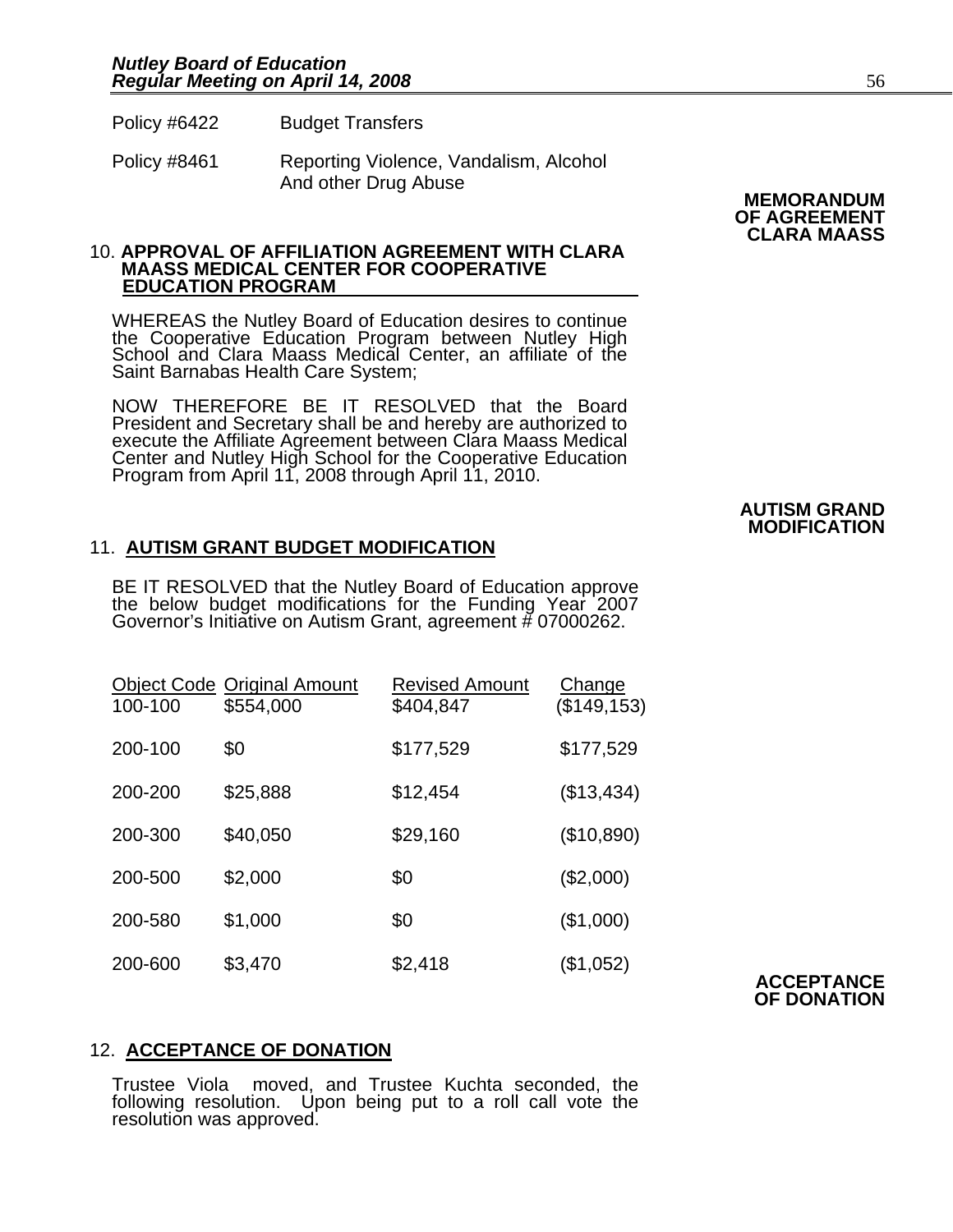Policy #6422 Budget Transfers

Policy #8461 Reporting Violence, Vandalism, Alcohol And other Drug Abuse

# 10. **APPROVAL OF AFFILIATION AGREEMENT WITH CLARA MAASS MEDICAL CENTER FOR COOPERATIVE EDUCATION PROGRAM**

WHEREAS the Nutley Board of Education desires to continue the Cooperative Education Program between Nutley High School and Clara Maass Medical Center, an affiliate of the Saint Barnabas Health Care System;

NOW THEREFORE BE IT RESOLVED that the Board President and Secretary shall be and hereby are authorized to execute the Affiliate Agreement between Clara Maass Medical Center and Nutley High School for the Cooperative Education Program from April 11, 2008 through April 11, 2010.

#### 11. **AUTISM GRANT BUDGET MODIFICATION**

BE IT RESOLVED that the Nutley Board of Education approve the below budget modifications for the Funding Year 2007 Governor's Initiative on Autism Grant, agreement # 07000262.

| 100-100 | <b>Object Code Original Amount</b><br>\$554,000 | <b>Revised Amount</b><br>\$404,847 | <b>Change</b><br>(\$149, 153) |
|---------|-------------------------------------------------|------------------------------------|-------------------------------|
| 200-100 | \$0                                             | \$177,529                          | \$177,529                     |
| 200-200 | \$25,888                                        | \$12,454                           | (\$13,434)                    |
| 200-300 | \$40,050                                        | \$29,160                           | (\$10,890)                    |
| 200-500 | \$2,000                                         | \$0                                | (\$2,000)                     |
| 200-580 | \$1,000                                         | \$0                                | (\$1,000)                     |
| 200-600 | \$3,470                                         | \$2,418                            | (\$1,052)                     |

### 12. **ACCEPTANCE OF DONATION**

Trustee Viola moved, and Trustee Kuchta seconded, the following resolution. Upon being put to a roll call vote the resolution was approved.

**MEMORANDUM OF AGREEMENT CLARA MAASS** 

## **AUTISM GRAND MODIFICATION**

**ACCEPTANCE OF DONATION**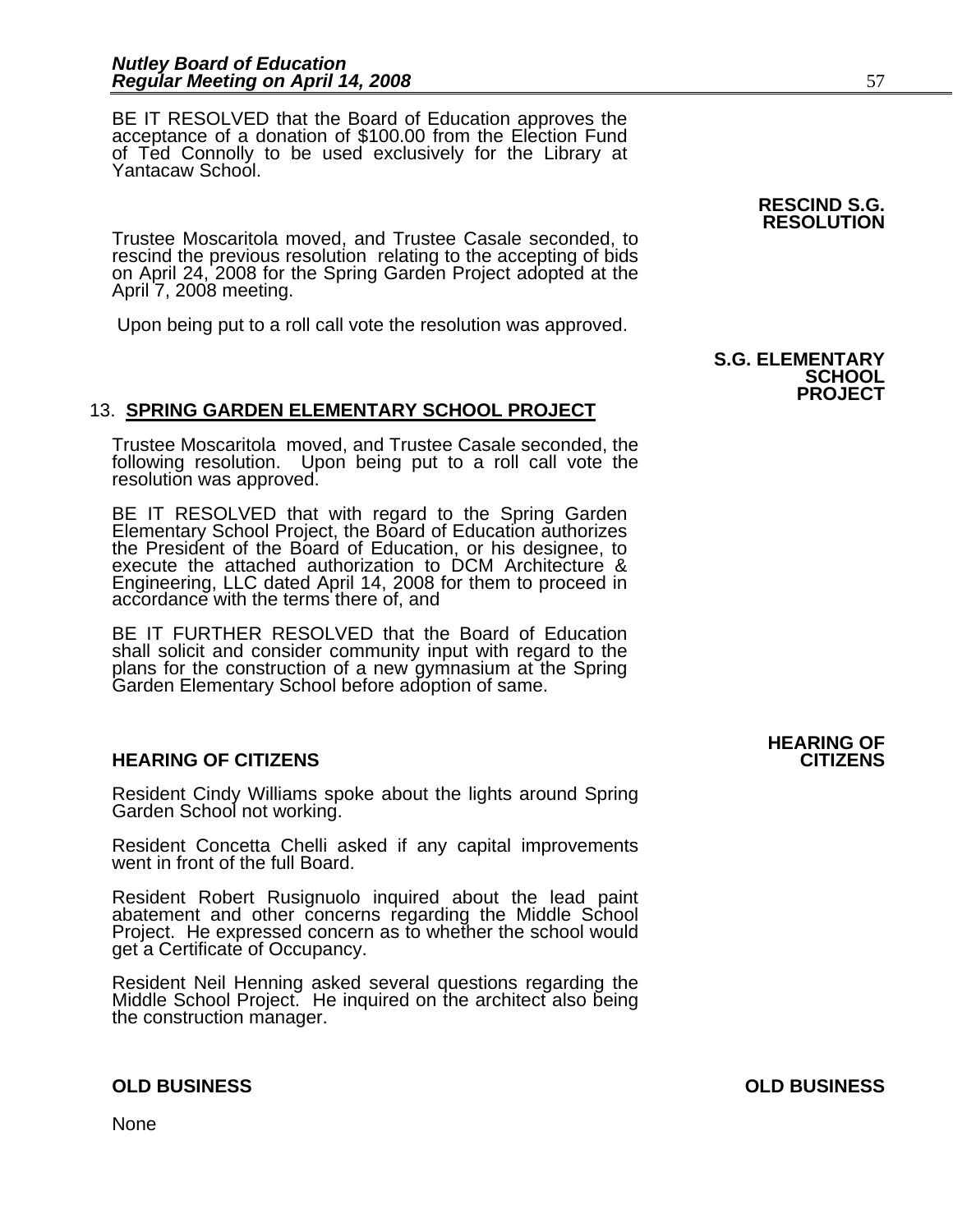BE IT RESOLVED that the Board of Education approves the acceptance of a donation of \$100.00 from the Election Fund of Ted Connolly to be used exclusively for the Library at Yantacaw School.

Trustee Moscaritola moved, and Trustee Casale seconded, to rescind the previous resolution relating to the accepting of bids on April 24, 2008 for the Spring Garden Project adopted at the April 7, 2008 meeting.

Upon being put to a roll call vote the resolution was approved.

#### 13. **SPRING GARDEN ELEMENTARY SCHOOL PROJECT**

Trustee Moscaritola moved, and Trustee Casale seconded, the following resolution. Upon being put to a roll call vote the resolution was approved.

BE IT RESOLVED that with regard to the Spring Garden Elementary School Project, the Board of Education authorizes the President of the Board of Education, or his designee, to execute the attached authorization to DCM Architecture & Engineering, LLC dated April 14, 2008 for them to proceed in accordance with the terms there of, and

BE IT FURTHER RESOLVED that the Board of Education shall solicit and consider community input with regard to the plans for the construction of a new gymnasium at the Spring Garden Elementary School before adoption of same.

#### **HEARING OF CITIZENS CITIZENS**

Resident Cindy Williams spoke about the lights around Spring Garden School not working.

Resident Concetta Chelli asked if any capital improvements went in front of the full Board.

Resident Robert Rusignuolo inquired about the lead paint abatement and other concerns regarding the Middle School Project. He expressed concern as to whether the school would get a Certificate of Occupancy.

Resident Neil Henning asked several questions regarding the Middle School Project. He inquired on the architect also being the construction manager.

None

**RESCIND S.G. RESOLUTION** 

#### **S.G. ELEMENTARY SCHOOL PROJECT**

## **HEARING OF**

**OLD BUSINESS OLD BUSINESS**